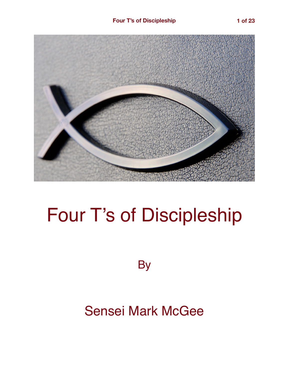

# Four T's of Discipleship

**By** 

## Sensei Mark McGee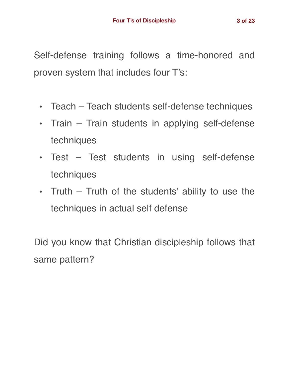Self-defense training follows a time-honored and proven system that includes four T's:

- Teach Teach students self-defense techniques
- Train Train students in applying self-defense techniques
- Test Test students in using self-defense techniques
- Truth Truth of the students' ability to use the techniques in actual self defense

Did you know that Christian discipleship follows that same pattern?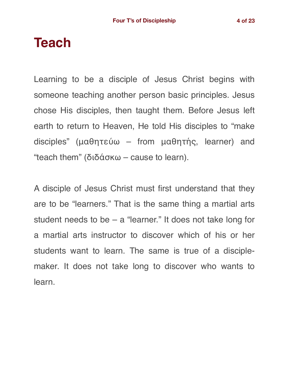## **Teach**

Learning to be a disciple of Jesus Christ begins with someone teaching another person basic principles. Jesus chose His disciples, then taught them. Before Jesus left earth to return to Heaven, He told His disciples to "make disciples" (μαθητεύω – from μαθητής, learner) and "teach them" (διδάσκω – cause to learn).

A disciple of Jesus Christ must first understand that they are to be "learners." That is the same thing a martial arts student needs to be – a "learner." It does not take long for a martial arts instructor to discover which of his or her students want to learn. The same is true of a disciplemaker. It does not take long to discover who wants to learn.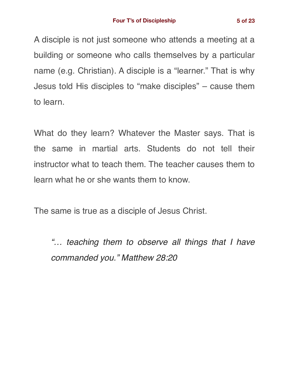A disciple is not just someone who attends a meeting at a building or someone who calls themselves by a particular name (e.g. Christian). A disciple is a "learner." That is why Jesus told His disciples to "make disciples" – cause them to learn.

What do they learn? Whatever the Master says. That is the same in martial arts. Students do not tell their instructor what to teach them. The teacher causes them to learn what he or she wants them to know.

The same is true as a disciple of Jesus Christ.

*"… teaching them to observe all things that I have commanded you." Matthew 28:20*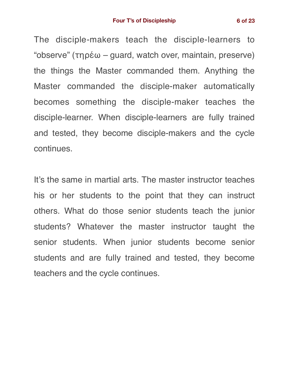The disciple-makers teach the disciple-learners to "observe" (τηρέω – guard, watch over, maintain, preserve) the things the Master commanded them. Anything the Master commanded the disciple-maker automatically becomes something the disciple-maker teaches the disciple-learner. When disciple-learners are fully trained and tested, they become disciple-makers and the cycle continues.

It's the same in martial arts. The master instructor teaches his or her students to the point that they can instruct others. What do those senior students teach the junior students? Whatever the master instructor taught the senior students. When junior students become senior students and are fully trained and tested, they become teachers and the cycle continues.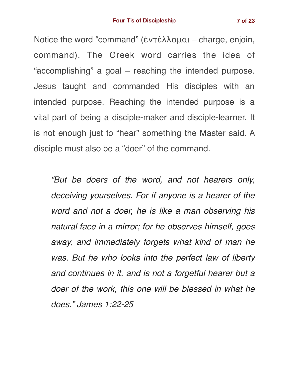Notice the word "command" (ἐντέλλομαι – charge, enjoin, command). The Greek word carries the idea of "accomplishing" a goal – reaching the intended purpose. Jesus taught and commanded His disciples with an intended purpose. Reaching the intended purpose is a vital part of being a disciple-maker and disciple-learner. It is not enough just to "hear" something the Master said. A disciple must also be a "doer" of the command.

*"But be doers of the word, and not hearers only, deceiving yourselves. For if anyone is a hearer of the word and not a doer, he is like a man observing his natural face in a mirror; for he observes himself, goes away, and immediately forgets what kind of man he was. But he who looks into the perfect law of liberty and continues in it, and is not a forgetful hearer but a doer of the work, this one will be blessed in what he does." James 1:22-25*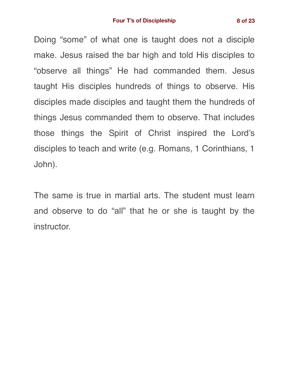Doing "some" of what one is taught does not a disciple make. Jesus raised the bar high and told His disciples to "observe all things" He had commanded them. Jesus taught His disciples hundreds of things to observe. His disciples made disciples and taught them the hundreds of things Jesus commanded them to observe. That includes those things the Spirit of Christ inspired the Lord's disciples to teach and write (e.g. Romans, 1 Corinthians, 1 John).

The same is true in martial arts. The student must learn and observe to do "all" that he or she is taught by the instructor.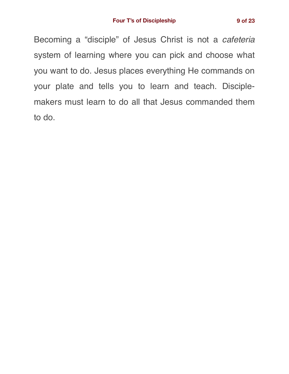Becoming a "disciple" of Jesus Christ is not a *cafeteria* system of learning where you can pick and choose what you want to do. Jesus places everything He commands on your plate and tells you to learn and teach. Disciplemakers must learn to do all that Jesus commanded them to do.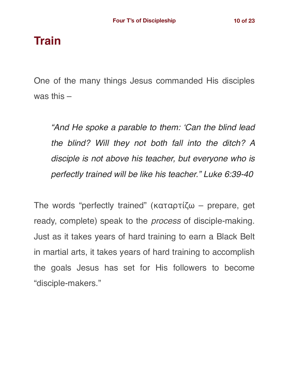#### **Train**

One of the many things Jesus commanded His disciples was this –

*"And He spoke a parable to them: 'Can the blind lead the blind? Will they not both fall into the ditch? A disciple is not above his teacher, but everyone who is perfectly trained will be like his teacher." Luke 6:39-40*

The words "perfectly trained" (καταρτίζω – prepare, get ready, complete) speak to the *process* of disciple-making. Just as it takes years of hard training to earn a Black Belt in martial arts, it takes years of hard training to accomplish the goals Jesus has set for His followers to become "disciple-makers."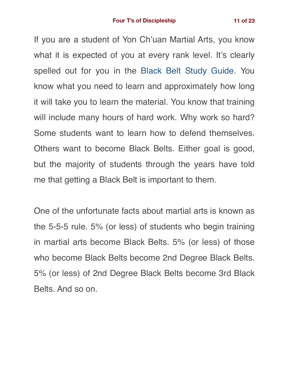If you are a student of Yon Ch'uan Martial Arts, you know what it is expected of you at every rank level. It's clearly spelled out for you in the [Black Belt Study Guide.](https://gracemartialarts.files.wordpress.com/2021/05/gma-black-belt-study-guide-2021.pdf) You know what you need to learn and approximately how long it will take you to learn the material. You know that training will include many hours of hard work. Why work so hard? Some students want to learn how to defend themselves. Others want to become Black Belts. Either goal is good, but the majority of students through the years have told me that getting a Black Belt is important to them.

One of the unfortunate facts about martial arts is known as the 5-5-5 rule. 5% (or less) of students who begin training in martial arts become Black Belts. 5% (or less) of those who become Black Belts become 2nd Degree Black Belts. 5% (or less) of 2nd Degree Black Belts become 3rd Black Belts. And so on.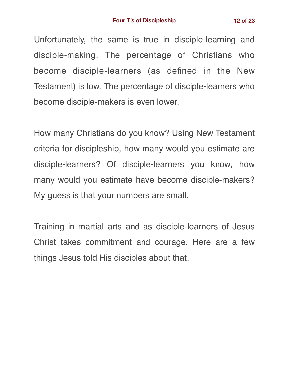Unfortunately, the same is true in disciple-learning and disciple-making. The percentage of Christians who become disciple-learners (as defined in the New Testament) is low. The percentage of disciple-learners who become disciple-makers is even lower.

How many Christians do you know? Using New Testament criteria for discipleship, how many would you estimate are disciple-learners? Of disciple-learners you know, how many would you estimate have become disciple-makers? My guess is that your numbers are small.

Training in martial arts and as disciple-learners of Jesus Christ takes commitment and courage. Here are a few things Jesus told His disciples about that.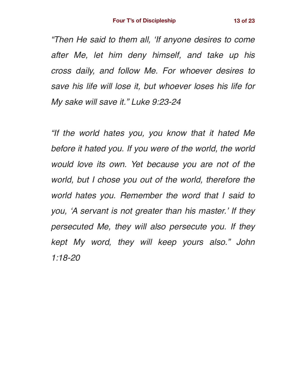*"Then He said to them all, 'If anyone desires to come after Me, let him deny himself, and take up his cross daily, and follow Me. For whoever desires to save his life will lose it, but whoever loses his life for My sake will save it." Luke 9:23-24*

*"If the world hates you, you know that it hated Me before it hated you. If you were of the world, the world would love its own. Yet because you are not of the world, but I chose you out of the world, therefore the world hates you. Remember the word that I said to you, 'A servant is not greater than his master.' If they persecuted Me, they will also persecute you. If they kept My word, they will keep yours also." John 1:18-20*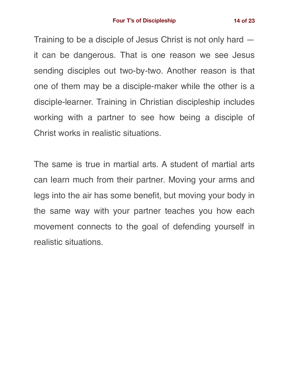Training to be a disciple of Jesus Christ is not only hard it can be dangerous. That is one reason we see Jesus sending disciples out two-by-two. Another reason is that one of them may be a disciple-maker while the other is a disciple-learner. Training in Christian discipleship includes working with a partner to see how being a disciple of Christ works in realistic situations.

The same is true in martial arts. A student of martial arts can learn much from their partner. Moving your arms and legs into the air has some benefit, but moving your body in the same way with your partner teaches you how each movement connects to the goal of defending yourself in realistic situations.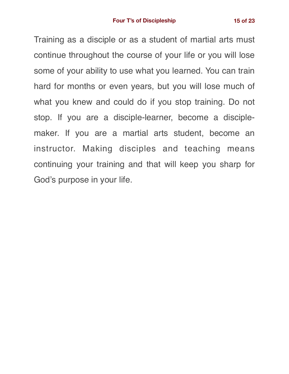Training as a disciple or as a student of martial arts must continue throughout the course of your life or you will lose some of your ability to use what you learned. You can train hard for months or even years, but you will lose much of what you knew and could do if you stop training. Do not stop. If you are a disciple-learner, become a disciplemaker. If you are a martial arts student, become an instructor. Making disciples and teaching means continuing your training and that will keep you sharp for God's purpose in your life.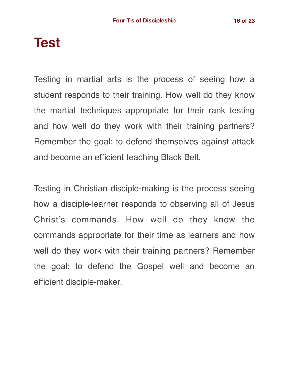### **Test**

Testing in martial arts is the process of seeing how a student responds to their training. How well do they know the martial techniques appropriate for their rank testing and how well do they work with their training partners? Remember the goal: to defend themselves against attack and become an efficient teaching Black Belt.

Testing in Christian disciple-making is the process seeing how a disciple-learner responds to observing all of Jesus Christ's commands. How well do they know the commands appropriate for their time as learners and how well do they work with their training partners? Remember the goal: to defend the Gospel well and become an efficient disciple-maker.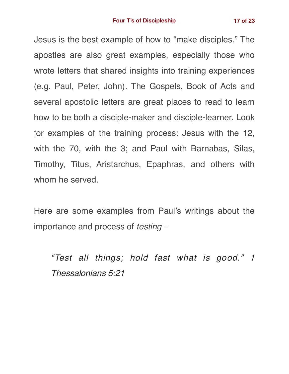Jesus is the best example of how to "make disciples." The apostles are also great examples, especially those who wrote letters that shared insights into training experiences (e.g. Paul, Peter, John). The Gospels, Book of Acts and several apostolic letters are great places to read to learn how to be both a disciple-maker and disciple-learner. Look for examples of the training process: Jesus with the 12, with the 70, with the 3; and Paul with Barnabas, Silas, Timothy, Titus, Aristarchus, Epaphras, and others with whom he served.

Here are some examples from Paul's writings about the importance and process of *testing* –

*"Test all things; hold fast what is good." 1 Thessalonians 5:21*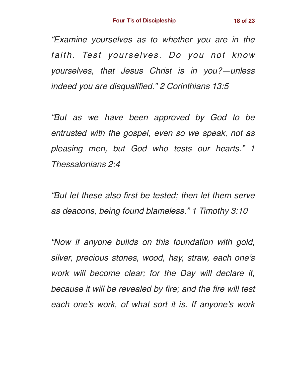*"Examine yourselves as to whether you are in the faith. Test yourselves. Do you not know yourselves, that Jesus Christ is in you?—unless indeed you are disqualified." 2 Corinthians 13:5*

*"But as we have been approved by God to be entrusted with the gospel, even so we speak, not as pleasing men, but God who tests our hearts." 1 Thessalonians 2:4*

*"But let these also first be tested; then let them serve as deacons, being found blameless." 1 Timothy 3:10*

*"Now if anyone builds on this foundation with gold, silver, precious stones, wood, hay, straw, each one's work will become clear; for the Day will declare it, because it will be revealed by fire; and the fire will test each one's work, of what sort it is. If anyone's work*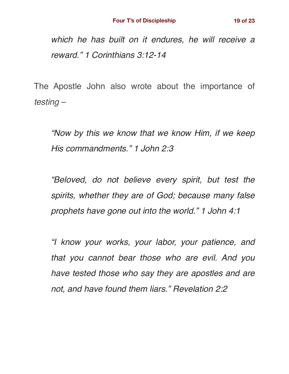*which he has built on it endures, he will receive a reward." 1 Corinthians 3:12-14*

The Apostle John also wrote about the importance of *testing* –

*"Now by this we know that we know Him, if we keep His commandments." 1 John 2:3*

*"Beloved, do not believe every spirit, but test the spirits, whether they are of God; because many false prophets have gone out into the world." 1 John 4:1*

*"I know your works, your labor, your patience, and that you cannot bear those who are evil. And you have tested those who say they are apostles and are not, and have found them liars." Revelation 2:2*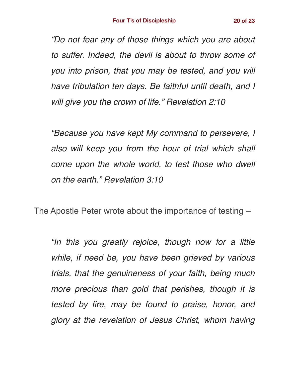*"Do not fear any of those things which you are about to suffer. Indeed, the devil is about to throw some of you into prison, that you may be tested, and you will have tribulation ten days. Be faithful until death, and I will give you the crown of life." Revelation 2:10*

*"Because you have kept My command to persevere, I also will keep you from the hour of trial which shall come upon the whole world, to test those who dwell on the earth." Revelation 3:10*

The Apostle Peter wrote about the importance of testing –

*"In this you greatly rejoice, though now for a little while, if need be, you have been grieved by various trials, that the genuineness of your faith, being much more precious than gold that perishes, though it is tested by fire, may be found to praise, honor, and glory at the revelation of Jesus Christ, whom having*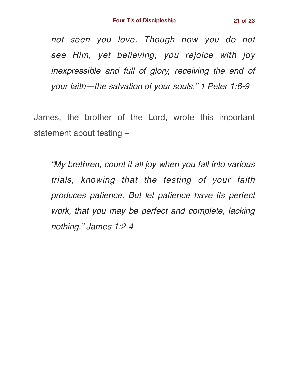*not seen you love. Though now you do not see Him, yet believing, you rejoice with joy inexpressible and full of glory, receiving the end of* 

*your faith—the salvation of your souls." 1 Peter 1:6-9*

James, the brother of the Lord, wrote this important statement about testing –

*"My brethren, count it all joy when you fall into various trials, knowing that the testing of your faith produces patience. But let patience have its perfect work, that you may be perfect and complete, lacking nothing." James 1:2-4*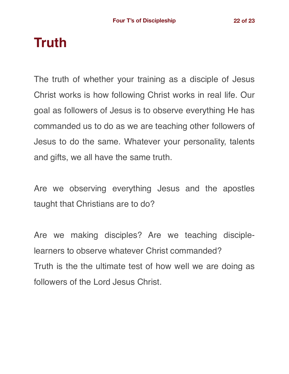## **Truth**

The truth of whether your training as a disciple of Jesus Christ works is how following Christ works in real life. Our goal as followers of Jesus is to observe everything He has commanded us to do as we are teaching other followers of Jesus to do the same. Whatever your personality, talents and gifts, we all have the same truth.

Are we observing everything Jesus and the apostles taught that Christians are to do?

Are we making disciples? Are we teaching disciplelearners to observe whatever Christ commanded? Truth is the the ultimate test of how well we are doing as followers of the Lord Jesus Christ.